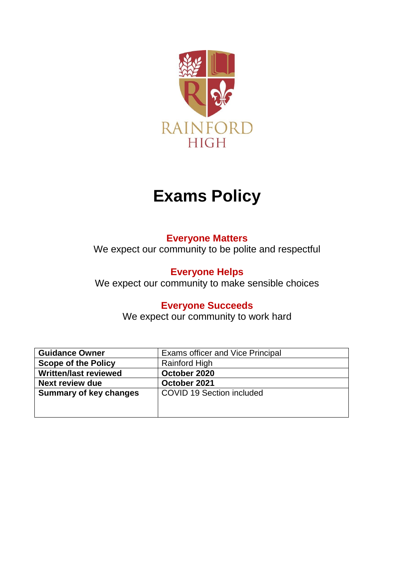

# **Exams Policy**

# **Everyone Matters**

We expect our community to be polite and respectful

# **Everyone Helps**

We expect our community to make sensible choices

# **Everyone Succeeds**

We expect our community to work hard

| <b>Guidance Owner</b>         | <b>Exams officer and Vice Principal</b> |
|-------------------------------|-----------------------------------------|
| <b>Scope of the Policy</b>    | <b>Rainford High</b>                    |
| <b>Written/last reviewed</b>  | October 2020                            |
| <b>Next review due</b>        | October 2021                            |
| <b>Summary of key changes</b> | <b>COVID 19 Section included</b>        |
|                               |                                         |
|                               |                                         |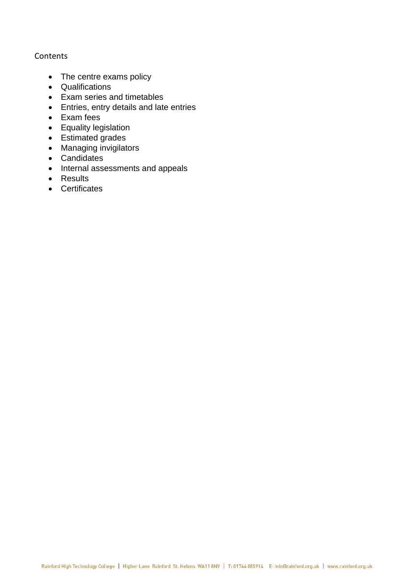# Contents

- The centre exams policy
- Qualifications
- Exam series and timetables
- Entries, entry details and late entries
- Exam fees
- Equality legislation
- Estimated grades
- Managing invigilators
- Candidates
- Internal assessments and appeals
- Results
- Certificates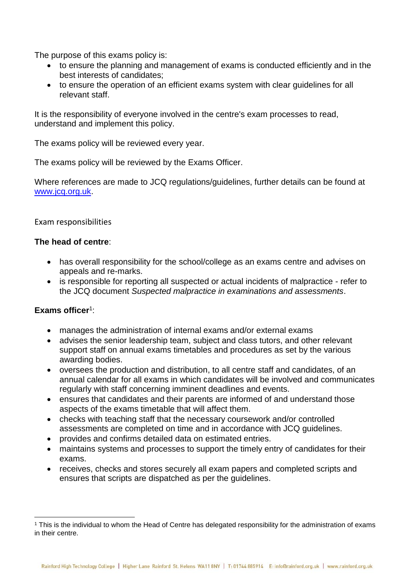The purpose of this exams policy is:

- to ensure the planning and management of exams is conducted efficiently and in the best interests of candidates;
- to ensure the operation of an efficient exams system with clear guidelines for all relevant staff.

It is the responsibility of everyone involved in the centre's exam processes to read, understand and implement this policy.

The exams policy will be reviewed every year.

The exams policy will be reviewed by the Exams Officer.

Where references are made to JCQ regulations/guidelines, further details can be found at [www.jcq.org.uk.](http://www.jcq.org.uk/)

# Exam responsibilities

# **The head of centre**:

- has overall responsibility for the school/college as an exams centre and advises on appeals and re-marks.
- is responsible for reporting all suspected or actual incidents of malpractice refer to the JCQ document *Suspected malpractice in examinations and assessments*.

# **Exams officer**<sup>1</sup> :

 $\overline{\phantom{a}}$ 

- manages the administration of internal exams and/or external exams
- advises the senior leadership team, subject and class tutors, and other relevant support staff on annual exams timetables and procedures as set by the various awarding bodies.
- oversees the production and distribution, to all centre staff and candidates, of an annual calendar for all exams in which candidates will be involved and communicates regularly with staff concerning imminent deadlines and events.
- ensures that candidates and their parents are informed of and understand those aspects of the exams timetable that will affect them.
- checks with teaching staff that the necessary coursework and/or controlled assessments are completed on time and in accordance with JCQ guidelines.
- provides and confirms detailed data on estimated entries.
- maintains systems and processes to support the timely entry of candidates for their exams.
- receives, checks and stores securely all exam papers and completed scripts and ensures that scripts are dispatched as per the guidelines.

<sup>1</sup> This is the individual to whom the Head of Centre has delegated responsibility for the administration of exams in their centre.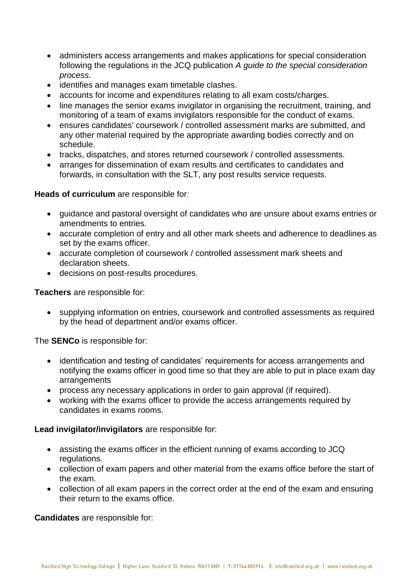- administers access arrangements and makes applications for special consideration following the regulations in the JCQ publication *A guide to the special consideration process*.
- identifies and manages exam timetable clashes.
- accounts for income and expenditures relating to all exam costs/charges.
- line manages the senior exams invigilator in organising the recruitment, training, and monitoring of a team of exams invigilators responsible for the conduct of exams.
- ensures candidates' coursework / controlled assessment marks are submitted, and any other material required by the appropriate awarding bodies correctly and on schedule.
- tracks, dispatches, and stores returned coursework / controlled assessments.
- arranges for dissemination of exam results and certificates to candidates and forwards, in consultation with the SLT, any post results service requests.

# **Heads of curriculum** are responsible for*:*

- guidance and pastoral oversight of candidates who are unsure about exams entries or amendments to entries.
- accurate completion of entry and all other mark sheets and adherence to deadlines as set by the exams officer.
- accurate completion of coursework / controlled assessment mark sheets and declaration sheets.
- decisions on post-results procedures.

**Teachers** are responsible for:

• supplying information on entries, coursework and controlled assessments as required by the head of department and/or exams officer.

The **SENCo** is responsible for:

- identification and testing of candidates' requirements for access arrangements and notifying the exams officer in good time so that they are able to put in place exam day arrangements
- process any necessary applications in order to gain approval (if required).
- working with the exams officer to provide the access arrangements required by candidates in exams rooms.

**Lead invigilator/invigilators** are responsible for:

- assisting the exams officer in the efficient running of exams according to JCQ regulations.
- collection of exam papers and other material from the exams office before the start of the exam.
- collection of all exam papers in the correct order at the end of the exam and ensuring their return to the exams office.

**Candidates** are responsible for: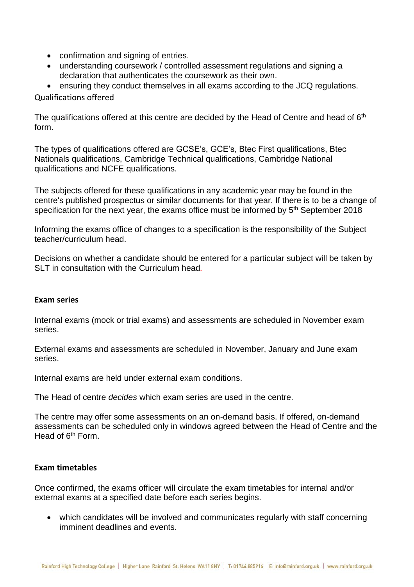- confirmation and signing of entries.
- understanding coursework / controlled assessment regulations and signing a declaration that authenticates the coursework as their own.

• ensuring they conduct themselves in all exams according to the JCQ regulations.

Qualifications offered

The qualifications offered at this centre are decided by the Head of Centre and head of  $6<sup>th</sup>$ form.

The types of qualifications offered are GCSE's, GCE's, Btec First qualifications, Btec Nationals qualifications, Cambridge Technical qualifications, Cambridge National qualifications and NCFE qualifications*.*

The subjects offered for these qualifications in any academic year may be found in the centre's published prospectus or similar documents for that year. If there is to be a change of specification for the next year, the exams office must be informed by 5<sup>th</sup> September 2018

Informing the exams office of changes to a specification is the responsibility of the Subject teacher/curriculum head.

Decisions on whether a candidate should be entered for a particular subject will be taken by SLT in consultation with the Curriculum head*.*

#### **Exam series**

Internal exams (mock or trial exams) and assessments are scheduled in November exam series.

External exams and assessments are scheduled in November, January and June exam series.

Internal exams are held under external exam conditions.

The Head of centre *decides* which exam series are used in the centre.

The centre may offer some assessments on an on-demand basis. If offered, on-demand assessments can be scheduled only in windows agreed between the Head of Centre and the Head of 6<sup>th</sup> Form.

#### **Exam timetables**

Once confirmed, the exams officer will circulate the exam timetables for internal and/or external exams at a specified date before each series begins.

• which candidates will be involved and communicates regularly with staff concerning imminent deadlines and events.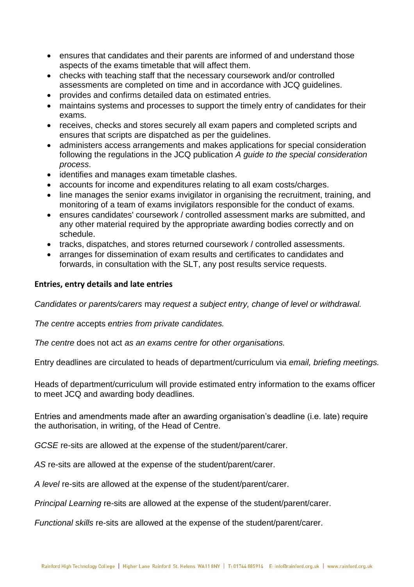- ensures that candidates and their parents are informed of and understand those aspects of the exams timetable that will affect them.
- checks with teaching staff that the necessary coursework and/or controlled assessments are completed on time and in accordance with JCQ guidelines.
- provides and confirms detailed data on estimated entries.
- maintains systems and processes to support the timely entry of candidates for their exams.
- receives, checks and stores securely all exam papers and completed scripts and ensures that scripts are dispatched as per the guidelines.
- administers access arrangements and makes applications for special consideration following the regulations in the JCQ publication *A guide to the special consideration process*.
- identifies and manages exam timetable clashes.
- accounts for income and expenditures relating to all exam costs/charges.
- line manages the senior exams invigilator in organising the recruitment, training, and monitoring of a team of exams invigilators responsible for the conduct of exams.
- ensures candidates' coursework / controlled assessment marks are submitted, and any other material required by the appropriate awarding bodies correctly and on schedule.
- tracks, dispatches, and stores returned coursework / controlled assessments.
- arranges for dissemination of exam results and certificates to candidates and forwards, in consultation with the SLT, any post results service requests.

#### **Entries, entry details and late entries**

*Candidates or parents/carers* may *request a subject entry, change of level or withdrawal.*

*The centre* accepts *entries from private candidates.*

*The centre* does not act *as an exams centre for other organisations.*

Entry deadlines are circulated to heads of department/curriculum via *email, briefing meetings.*

Heads of department/curriculum will provide estimated entry information to the exams officer to meet JCQ and awarding body deadlines.

Entries and amendments made after an awarding organisation's deadline (i.e. late) require the authorisation, in writing, of the Head of Centre.

*GCSE* re-sits are allowed at the expense of the student/parent/carer.

*AS* re-sits are allowed at the expense of the student/parent/carer.

*A level* re-sits are allowed at the expense of the student/parent/carer.

*Principal Learning* re-sits are allowed at the expense of the student/parent/carer.

*Functional skills* re-sits are allowed at the expense of the student/parent/carer.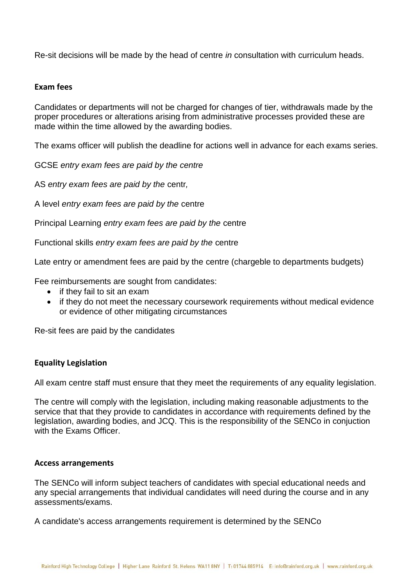Re-sit decisions will be made by the head of centre *in* consultation with curriculum heads.

# **Exam fees**

Candidates or departments will not be charged for changes of tier, withdrawals made by the proper procedures or alterations arising from administrative processes provided these are made within the time allowed by the awarding bodies.

The exams officer will publish the deadline for actions well in advance for each exams series.

GCSE *entry exam fees are paid by the centre* 

AS *entry exam fees are paid by the* centr*,* 

A level *entry exam fees are paid by the* centre

Principal Learning *entry exam fees are paid by the* centre

Functional skills *entry exam fees are paid by the* centre

Late entry or amendment fees are paid by the centre (chargeble to departments budgets)

Fee reimbursements are sought from candidates:

- if they fail to sit an exam
- if they do not meet the necessary coursework requirements without medical evidence or evidence of other mitigating circumstances

Re-sit fees are paid by the candidates

# **Equality Legislation**

All exam centre staff must ensure that they meet the requirements of any equality legislation.

The centre will comply with the legislation, including making reasonable adjustments to the service that that they provide to candidates in accordance with requirements defined by the legislation, awarding bodies, and JCQ. This is the responsibility of the SENCo in conjuction with the Exams Officer.

#### **Access arrangements**

The SENCo will inform subject teachers of candidates with special educational needs and any special arrangements that individual candidates will need during the course and in any assessments/exams.

A candidate's access arrangements requirement is determined by the SENCo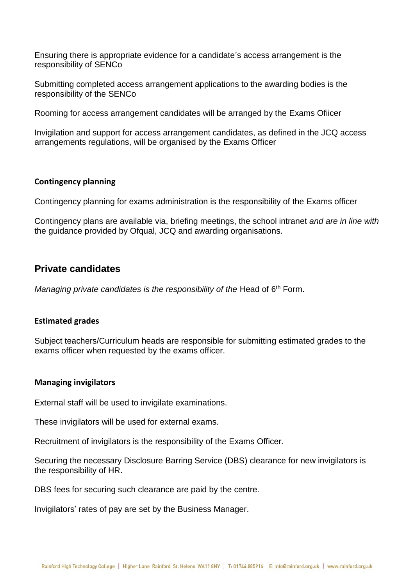Ensuring there is appropriate evidence for a candidate's access arrangement is the responsibility of SENCo

Submitting completed access arrangement applications to the awarding bodies is the responsibility of the SENCo

Rooming for access arrangement candidates will be arranged by the Exams Ofiicer

Invigilation and support for access arrangement candidates, as defined in the JCQ access arrangements regulations, will be organised by the Exams Officer

#### **Contingency planning**

Contingency planning for exams administration is the responsibility of the Exams officer

Contingency plans are available via, briefing meetings, the school intranet *and are in line with*  the guidance provided by Ofqual, JCQ and awarding organisations.

# **Private candidates**

*Managing private candidates is the responsibility of the Head of 6<sup>th</sup> Form.* 

#### **Estimated grades**

Subject teachers/Curriculum heads are responsible for submitting estimated grades to the exams officer when requested by the exams officer.

#### **Managing invigilators**

External staff will be used to invigilate examinations.

These invigilators will be used for external exams.

Recruitment of invigilators is the responsibility of the Exams Officer.

Securing the necessary Disclosure Barring Service (DBS) clearance for new invigilators is the responsibility of HR.

DBS fees for securing such clearance are paid by the centre.

Invigilators' rates of pay are set by the Business Manager.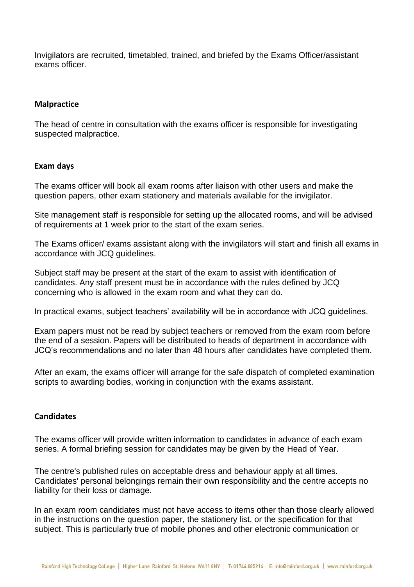Invigilators are recruited, timetabled, trained, and briefed by the Exams Officer/assistant exams officer.

# **Malpractice**

The head of centre in consultation with the exams officer is responsible for investigating suspected malpractice.

# **Exam days**

The exams officer will book all exam rooms after liaison with other users and make the question papers, other exam stationery and materials available for the invigilator.

Site management staff is responsible for setting up the allocated rooms, and will be advised of requirements at 1 week prior to the start of the exam series.

The Exams officer/ exams assistant along with the invigilators will start and finish all exams in accordance with JCQ guidelines.

Subject staff may be present at the start of the exam to assist with identification of candidates. Any staff present must be in accordance with the rules defined by JCQ concerning who is allowed in the exam room and what they can do.

In practical exams, subject teachers' availability will be in accordance with JCQ guidelines.

Exam papers must not be read by subject teachers or removed from the exam room before the end of a session. Papers will be distributed to heads of department in accordance with JCQ's recommendations and no later than 48 hours after candidates have completed them.

After an exam, the exams officer will arrange for the safe dispatch of completed examination scripts to awarding bodies, working in conjunction with the exams assistant.

#### **Candidates**

The exams officer will provide written information to candidates in advance of each exam series. A formal briefing session for candidates may be given by the Head of Year.

The centre's published rules on acceptable dress and behaviour apply at all times. Candidates' personal belongings remain their own responsibility and the centre accepts no liability for their loss or damage.

In an exam room candidates must not have access to items other than those clearly allowed in the instructions on the question paper, the stationery list, or the specification for that subject. This is particularly true of mobile phones and other electronic communication or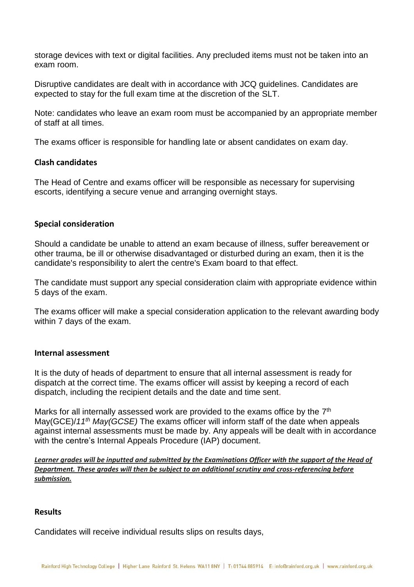storage devices with text or digital facilities. Any precluded items must not be taken into an exam room.

Disruptive candidates are dealt with in accordance with JCQ guidelines. Candidates are expected to stay for the full exam time at the discretion of the SLT.

Note: candidates who leave an exam room must be accompanied by an appropriate member of staff at all times.

The exams officer is responsible for handling late or absent candidates on exam day.

#### **Clash candidates**

The Head of Centre and exams officer will be responsible as necessary for supervising escorts, identifying a secure venue and arranging overnight stays.

#### **Special consideration**

Should a candidate be unable to attend an exam because of illness, suffer bereavement or other trauma, be ill or otherwise disadvantaged or disturbed during an exam, then it is the candidate's responsibility to alert the centre's Exam board to that effect.

The candidate must support any special consideration claim with appropriate evidence within 5 days of the exam.

The exams officer will make a special consideration application to the relevant awarding body within 7 days of the exam.

#### **Internal assessment**

It is the duty of heads of department to ensure that all internal assessment is ready for dispatch at the correct time. The exams officer will assist by keeping a record of each dispatch, including the recipient details and the date and time sent.

Marks for all internally assessed work are provided to the exams office by the  $7<sup>th</sup>$ May(GCE)/*11th May(GCSE)* The exams officer will inform staff of the date when appeals against internal assessments must be made by. Any appeals will be dealt with in accordance with the centre's Internal Appeals Procedure (IAP) document.

*Learner grades will be inputted and submitted by the Examinations Officer with the support of the Head of Department. These grades will then be subject to an additional scrutiny and cross-referencing before submission.*

#### **Results**

Candidates will receive individual results slips on results days,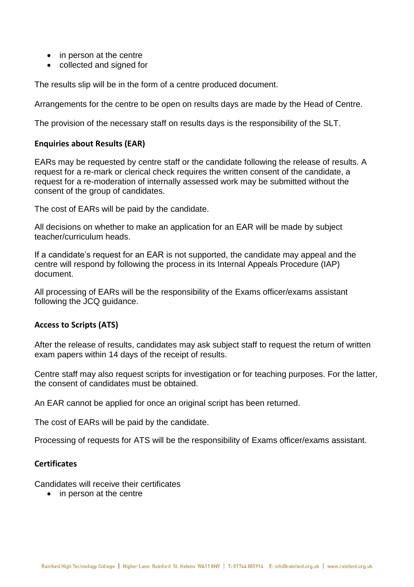- in person at the centre
- collected and signed for

The results slip will be in the form of a centre produced document.

Arrangements for the centre to be open on results days are made by the Head of Centre.

The provision of the necessary staff on results days is the responsibility of the SLT.

# **Enquiries about Results (EAR)**

EARs may be requested by centre staff or the candidate following the release of results. A request for a re-mark or clerical check requires the written consent of the candidate, a request for a re-moderation of internally assessed work may be submitted without the consent of the group of candidates.

The cost of EARs will be paid by the candidate.

All decisions on whether to make an application for an EAR will be made by subject teacher/curriculum heads.

If a candidate's request for an EAR is not supported, the candidate may appeal and the centre will respond by following the process in its Internal Appeals Procedure (IAP) document.

All processing of EARs will be the responsibility of the Exams officer/exams assistant following the JCQ guidance.

# **Access to Scripts (ATS)**

After the release of results, candidates may ask subject staff to request the return of written exam papers within 14 days of the receipt of results.

Centre staff may also request scripts for investigation or for teaching purposes. For the latter, the consent of candidates must be obtained.

An EAR cannot be applied for once an original script has been returned.

The cost of EARs will be paid by the candidate.

Processing of requests for ATS will be the responsibility of Exams officer/exams assistant.

# **Certificates**

Candidates will receive their certificates

• in person at the centre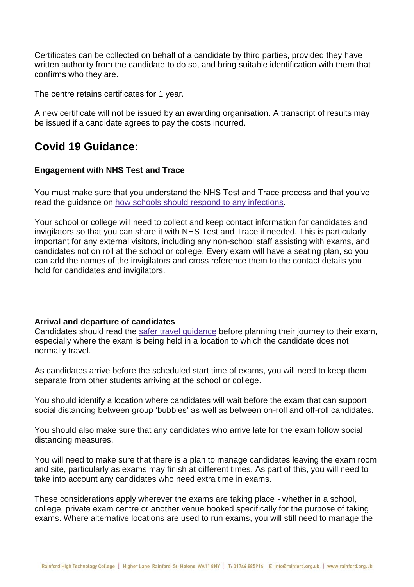Certificates can be collected on behalf of a candidate by third parties, provided they have written authority from the candidate to do so, and bring suitable identification with them that confirms who they are.

The centre retains certificates for 1 year.

A new certificate will not be issued by an awarding organisation. A transcript of results may be issued if a candidate agrees to pay the costs incurred.

# **Covid 19 Guidance:**

# **Engagement with NHS Test and Trace**

You must make sure that you understand the NHS Test and Trace process and that you've read the guidance on how schools should respond to any [infections.](https://www.gov.uk/government/publications/actions-for-schools-during-the-coronavirus-outbreak/guidance-for-full-opening-schools#section-1-public-health-advice-to-minimise-coronavirus-covid-19-risks)

Your school or college will need to collect and keep contact information for candidates and invigilators so that you can share it with NHS Test and Trace if needed. This is particularly important for any external visitors, including any non-school staff assisting with exams, and candidates not on roll at the school or college. Every exam will have a seating plan, so you can add the names of the invigilators and cross reference them to the contact details you hold for candidates and invigilators.

# **Arrival and departure of candidates**

Candidates should read the safer travel [guidance](https://www.gov.uk/guidance/coronavirus-covid-19-safer-travel-guidance-for-passengers#walking-and-cycling) before planning their journey to their exam, especially where the exam is being held in a location to which the candidate does not normally travel.

As candidates arrive before the scheduled start time of exams, you will need to keep them separate from other students arriving at the school or college.

You should identify a location where candidates will wait before the exam that can support social distancing between group 'bubbles' as well as between on-roll and off-roll candidates.

You should also make sure that any candidates who arrive late for the exam follow social distancing measures.

You will need to make sure that there is a plan to manage candidates leaving the exam room and site, particularly as exams may finish at different times. As part of this, you will need to take into account any candidates who need extra time in exams.

These considerations apply wherever the exams are taking place - whether in a school, college, private exam centre or another venue booked specifically for the purpose of taking exams. Where alternative locations are used to run exams, you will still need to manage the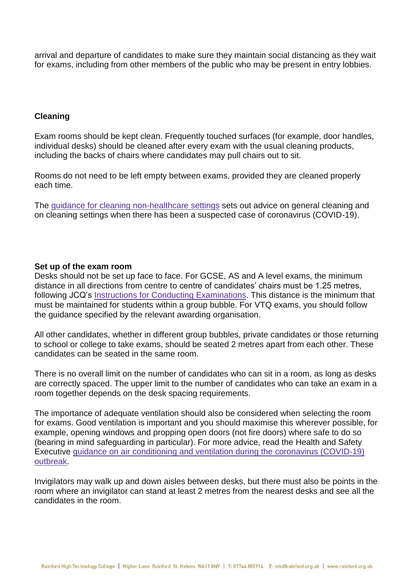arrival and departure of candidates to make sure they maintain social distancing as they wait for exams, including from other members of the public who may be present in entry lobbies.

#### **Cleaning**

Exam rooms should be kept clean. Frequently touched surfaces (for example, door handles, individual desks) should be cleaned after every exam with the usual cleaning products, including the backs of chairs where candidates may pull chairs out to sit.

Rooms do not need to be left empty between exams, provided they are cleaned properly each time.

The guidance for cleaning [non-healthcare](https://www.gov.uk/government/publications/covid-19-decontamination-in-non-healthcare-settings) settings sets out advice on general cleaning and on cleaning settings when there has been a suspected case of coronavirus (COVID-19).

#### **Set up of the exam room**

Desks should not be set up face to face. For GCSE, AS and A level exams, the minimum distance in all directions from centre to centre of candidates' chairs must be 1.25 metres, following JCQ's Instructions for Conducting [Examinations.](https://www.jcq.org.uk/exams-office/ice---instructions-for-conducting-examinations/) This distance is the minimum that must be maintained for students within a group bubble. For VTQ exams, you should follow the guidance specified by the relevant awarding organisation.

All other candidates, whether in different group bubbles, private candidates or those returning to school or college to take exams, should be seated 2 metres apart from each other. These candidates can be seated in the same room.

There is no overall limit on the number of candidates who can sit in a room, as long as desks are correctly spaced. The upper limit to the number of candidates who can take an exam in a room together depends on the desk spacing requirements.

The importance of adequate ventilation should also be considered when selecting the room for exams. Good ventilation is important and you should maximise this wherever possible, for example, opening windows and propping open doors (not fire doors) where safe to do so (bearing in mind safeguarding in particular). For more advice, read the Health and Safety Executive guidance on air [conditioning](https://www.hse.gov.uk/coronavirus/equipment-and-machinery/air-conditioning-and-ventilation.htm) and ventilation during the coronavirus (COVID-19) [outbreak.](https://www.hse.gov.uk/coronavirus/equipment-and-machinery/air-conditioning-and-ventilation.htm)

Invigilators may walk up and down aisles between desks, but there must also be points in the room where an invigilator can stand at least 2 metres from the nearest desks and see all the candidates in the room.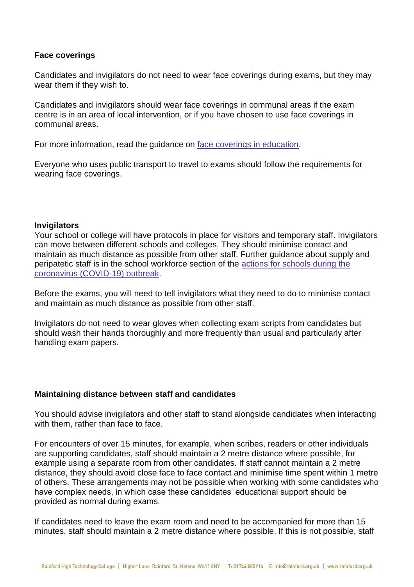# **Face coverings**

Candidates and invigilators do not need to wear face coverings during exams, but they may wear them if they wish to.

Candidates and invigilators should wear face coverings in communal areas if the exam centre is in an area of local intervention, or if you have chosen to use face coverings in communal areas.

For more information, read the guidance on face coverings in [education.](https://www.gov.uk/government/publications/face-coverings-in-education/face-coverings-in-education)

Everyone who uses public transport to travel to exams should follow the requirements for wearing face coverings.

#### **Invigilators**

Your school or college will have protocols in place for visitors and temporary staff. Invigilators can move between different schools and colleges. They should minimise contact and maintain as much distance as possible from other staff. Further guidance about supply and peripatetic staff is in the school workforce section of the actions for [schools](https://www.gov.uk/government/publications/actions-for-schools-during-the-coronavirus-outbreak/guidance-for-full-opening-schools#school-workforce) during the coronavirus [\(COVID-19\)](https://www.gov.uk/government/publications/actions-for-schools-during-the-coronavirus-outbreak/guidance-for-full-opening-schools#school-workforce) outbreak.

Before the exams, you will need to tell invigilators what they need to do to minimise contact and maintain as much distance as possible from other staff.

Invigilators do not need to wear gloves when collecting exam scripts from candidates but should wash their hands thoroughly and more frequently than usual and particularly after handling exam papers.

#### **Maintaining distance between staff and candidates**

You should advise invigilators and other staff to stand alongside candidates when interacting with them, rather than face to face.

For encounters of over 15 minutes, for example, when scribes, readers or other individuals are supporting candidates, staff should maintain a 2 metre distance where possible, for example using a separate room from other candidates. If staff cannot maintain a 2 metre distance, they should avoid close face to face contact and minimise time spent within 1 metre of others. These arrangements may not be possible when working with some candidates who have complex needs, in which case these candidates' educational support should be provided as normal during exams.

If candidates need to leave the exam room and need to be accompanied for more than 15 minutes, staff should maintain a 2 metre distance where possible. If this is not possible, staff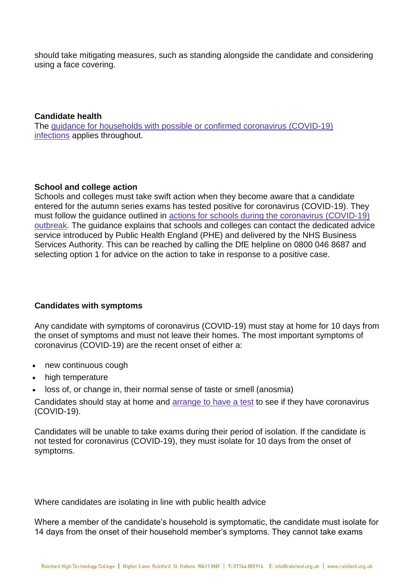should take mitigating measures, such as standing alongside the candidate and considering using a face covering.

#### **Candidate health**

The guidance for households with possible or confirmed coronavirus [\(COVID-19\)](https://www.gov.uk/government/publications/covid-19-stay-at-home-guidance/stay-at-home-guidance-for-households-with-possible-coronavirus-covid-19-infection) [infections](https://www.gov.uk/government/publications/covid-19-stay-at-home-guidance/stay-at-home-guidance-for-households-with-possible-coronavirus-covid-19-infection) applies throughout.

# **School and college action**

Schools and colleges must take swift action when they become aware that a candidate entered for the autumn series exams has tested positive for coronavirus (COVID-19). They must follow the guidance outlined in actions for schools during the coronavirus [\(COVID-19\)](https://www.gov.uk/government/publications/actions-for-schools-during-the-coronavirus-outbreak) [outbreak.](https://www.gov.uk/government/publications/actions-for-schools-during-the-coronavirus-outbreak) The guidance explains that schools and colleges can contact the dedicated advice service introduced by Public Health England (PHE) and delivered by the NHS Business Services Authority. This can be reached by calling the DfE helpline on 0800 046 8687 and selecting option 1 for advice on the action to take in response to a positive case.

# **Candidates with symptoms**

Any candidate with symptoms of coronavirus (COVID-19) must stay at home for 10 days from the onset of symptoms and must not leave their homes. The most important symptoms of coronavirus (COVID-19) are the recent onset of either a:

- new continuous cough
- high temperature
- loss of, or change in, their normal sense of taste or smell (anosmia)

Candidates should stay at home and [arrange](https://www.nhs.uk/conditions/coronavirus-covid-19/testing-for-coronavirus/) to have a test to see if they have coronavirus (COVID-19).

Candidates will be unable to take exams during their period of isolation. If the candidate is not tested for coronavirus (COVID-19), they must isolate for 10 days from the onset of symptoms.

Where candidates are isolating in line with public health advice

Where a member of the candidate's household is symptomatic, the candidate must isolate for 14 days from the onset of their household member's symptoms. They cannot take exams